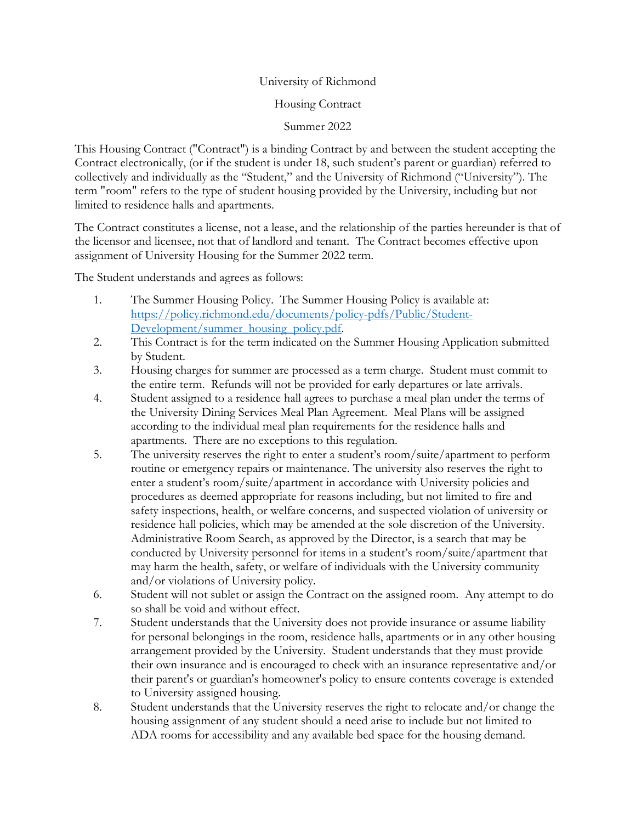## University of Richmond

## Housing Contract

Summer 2022

This Housing Contract ("Contract") is a binding Contract by and between the student accepting the Contract electronically, (or if the student is under 18, such student's parent or guardian) referred to collectively and individually as the "Student," and the University of Richmond ("University"). The term "room" refers to the type of student housing provided by the University, including but not limited to residence halls and apartments.

The Contract constitutes a license, not a lease, and the relationship of the parties hereunder is that of the licensor and licensee, not that of landlord and tenant. The Contract becomes effective upon assignment of University Housing for the Summer 2022 term.

The Student understands and agrees as follows:

- 1. The Summer Housing Policy. The Summer Housing Policy is available at: [https://policy.richmond.edu/documents/policy-pdfs/Public/Student-](https://policy.richmond.edu/documents/policy-pdfs/Public/Student-Development/summer_housing_policy.pdf)[Development/summer\\_housing\\_policy.pdf.](https://policy.richmond.edu/documents/policy-pdfs/Public/Student-Development/summer_housing_policy.pdf)
- 2. This Contract is for the term indicated on the Summer Housing Application submitted by Student.
- 3. Housing charges for summer are processed as a term charge. Student must commit to the entire term. Refunds will not be provided for early departures or late arrivals.
- 4. Student assigned to a residence hall agrees to purchase a meal plan under the terms of the University Dining Services Meal Plan Agreement. Meal Plans will be assigned according to the individual meal plan requirements for the residence halls and apartments. There are no exceptions to this regulation.
- 5. The university reserves the right to enter a student's room/suite/apartment to perform routine or emergency repairs or maintenance. The university also reserves the right to enter a student's room/suite/apartment in accordance with University policies and procedures as deemed appropriate for reasons including, but not limited to fire and safety inspections, health, or welfare concerns, and suspected violation of university or residence hall policies, which may be amended at the sole discretion of the University. Administrative Room Search, as approved by the Director, is a search that may be conducted by University personnel for items in a student's room/suite/apartment that may harm the health, safety, or welfare of individuals with the University community and/or violations of University policy.
- 6. Student will not sublet or assign the Contract on the assigned room. Any attempt to do so shall be void and without effect.
- 7. Student understands that the University does not provide insurance or assume liability for personal belongings in the room, residence halls, apartments or in any other housing arrangement provided by the University. Student understands that they must provide their own insurance and is encouraged to check with an insurance representative and/or their parent's or guardian's homeowner's policy to ensure contents coverage is extended to University assigned housing.
- 8. Student understands that the University reserves the right to relocate and/or change the housing assignment of any student should a need arise to include but not limited to ADA rooms for accessibility and any available bed space for the housing demand.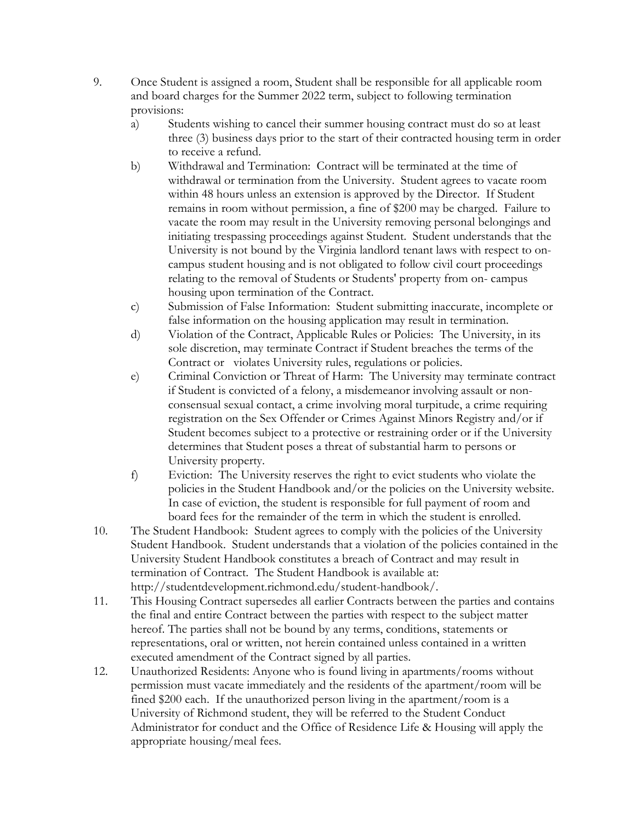- 9. Once Student is assigned a room, Student shall be responsible for all applicable room and board charges for the Summer 2022 term, subject to following termination provisions:
	- a) Students wishing to cancel their summer housing contract must do so at least three (3) business days prior to the start of their contracted housing term in order to receive a refund.
	- b) Withdrawal and Termination: Contract will be terminated at the time of withdrawal or termination from the University. Student agrees to vacate room within 48 hours unless an extension is approved by the Director. If Student remains in room without permission, a fine of \$200 may be charged. Failure to vacate the room may result in the University removing personal belongings and initiating trespassing proceedings against Student. Student understands that the University is not bound by the Virginia landlord tenant laws with respect to oncampus student housing and is not obligated to follow civil court proceedings relating to the removal of Students or Students' property from on- campus housing upon termination of the Contract.
	- c) Submission of False Information: Student submitting inaccurate, incomplete or false information on the housing application may result in termination.
	- d) Violation of the Contract, Applicable Rules or Policies: The University, in its sole discretion, may terminate Contract if Student breaches the terms of the Contract or violates University rules, regulations or policies.
	- e) Criminal Conviction or Threat of Harm: The University may terminate contract if Student is convicted of a felony, a misdemeanor involving assault or nonconsensual sexual contact, a crime involving moral turpitude, a crime requiring registration on the Sex Offender or Crimes Against Minors Registry and/or if Student becomes subject to a protective or restraining order or if the University determines that Student poses a threat of substantial harm to persons or University property.
	- f) Eviction: The University reserves the right to evict students who violate the policies in the Student Handbook and/or the policies on the University website. In case of eviction, the student is responsible for full payment of room and board fees for the remainder of the term in which the student is enrolled.
- 10. The Student Handbook: Student agrees to comply with the policies of the University Student Handbook. Student understands that a violation of the policies contained in the University Student Handbook constitutes a breach of Contract and may result in termination of Contract. The Student Handbook is available at: http://studentdevelopment.richmond.edu/student-handbook/.
- 11. This Housing Contract supersedes all earlier Contracts between the parties and contains the final and entire Contract between the parties with respect to the subject matter hereof. The parties shall not be bound by any terms, conditions, statements or representations, oral or written, not herein contained unless contained in a written executed amendment of the Contract signed by all parties.
- 12. Unauthorized Residents: Anyone who is found living in apartments/rooms without permission must vacate immediately and the residents of the apartment/room will be fined \$200 each. If the unauthorized person living in the apartment/room is a University of Richmond student, they will be referred to the Student Conduct Administrator for conduct and the Office of Residence Life & Housing will apply the appropriate housing/meal fees.